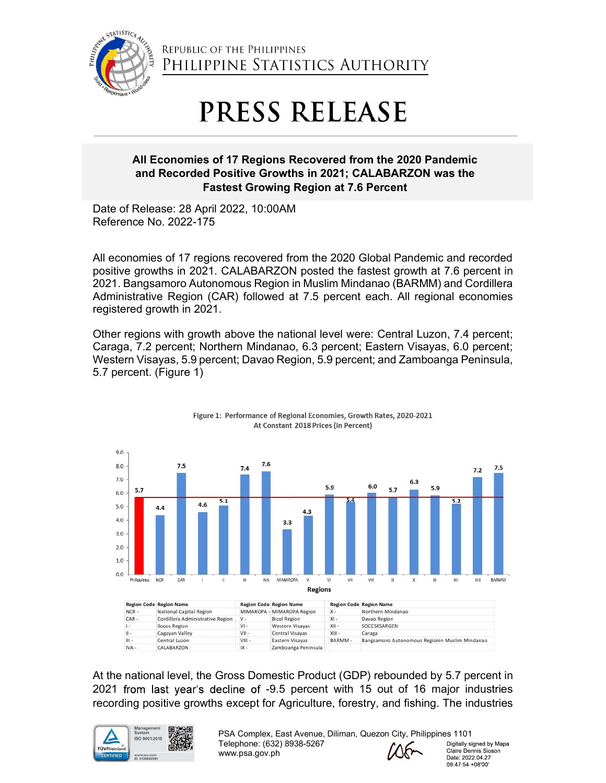

## REPUBLIC OF THE PHILIPPINES<br>
PHILIPPINE STATISTICS AUTHORITY<br>
PRESS RELEASE<br>
All Economies of 17 Regions Recovered from the 2020 Pandemic<br>
and Recorded Positive Growths in 2022, 10:00AM<br>
Reference No. 2022-175<br>
All economi All Economies of 17 Regions Recovered from the 2020 Pandemic REPUBLIC OF THE PHILIPPINES<br>
PHILIPPINE STATISTICS AUTHORITY<br>
PRESS RELEASE<br>
All Economies of 17 Regions Recovered from the 2020 Pandemic<br>
and Recorded Positive Growths in 2021; CALABARZON was the<br>
Fastest Growing Region a C OF THE PHILIPPINES<br>PPINE STATISTICS AUTHORITY<br>**PRESS RELEASE**<br>s of 17 Regions Recovered from the 2020 Pandemic<br>d Positive Growths in 2021; CALABARZON was the<br>Fastest Growing Region at 7.6 Percent<br>pril 2022, 10:00AM<br>75

Reference No. 2022-175

All economies of 17 regions recovered from the 2020 Global Pandemic and recorded **EPOSITIVE STATISTICS AUTHORITY**<br> **PRESS RELEASE**<br> **All Economies of 17 Regions Recovered from the 2020 Pandemic**<br> **All Economies of 17 Regions Recovered from the 2020 Pandemic<br>
Date of Release: 28 April 2022, 10:00AM<br>
Ref PRESS RELEASE**<br> **2021. Bandwide STATISTICS AUTHORITY**<br> **2022 Pandemic**<br> **2022 Pandemic and Recorded Positive Growths in 2021; CALABARZON was the<br>
Fastest Growing Region at 7.6 Percent<br>
Date of Release: 28 April 2022, 10:0** REPUBLIC OF THE PHILIPPINES<br>
PHILIPPINE STATISTICS AUTHORITY<br>
PRESS RELEASE<br>
All Economies of 17 Regions Recovered from the 2020 Pandemic<br>
and Recorded Positive Growths in 2021; CALABARZON was the<br>
Date of Release: 28 Apri registered growth in 2021. **PRESS RELEASE**<br> **All Economies of 17 Regions Recovered from the 2020 Pandemic**<br> **and Recorded Positive Growths in 2021; CALABARZON was the**<br> **Pastest Growing Region at 7.6 Percent**<br>
Date of Release: 28 April 2022, 10:00AM **PRESS RELEASE**<br>
All Economies of 17 Regions Recovered from the 2020 Pandemic<br>
and Recorded Positive Growths in 2021; CALABARZON was the<br>
Date of Release: 28 paril 2022, 10:00AM<br>
Reference No. 2022-175<br>
All economies of 17 All Economies of 17 Regions Recovered from the 2020 Pandemic<br>
and Recorded Positive Growths in 2021; CALABARZON was the<br>
Fastest Growing Region at 7.6 Percent<br>
Date of Release: 28 April 2022, 10:00AM<br>
Reference No. 2022-17

Caraga, 7.2 percent; Northern Mindanao, 6.3 percent; Eastern Visayas, 6.0 percent;



|         | <b>Region Code Region Name</b>   |          | <b>Region Code Region Name</b> |          | <b>Region Code Region Name</b>                 |
|---------|----------------------------------|----------|--------------------------------|----------|------------------------------------------------|
| $NCR -$ | National Capital Region          |          | MIMAROPA - MIMAROPA Region     | $X -$    | Northern Mindanao                              |
| $CAR -$ | Cordillera Administrative Region | $V -$    | <b>Bicol Region</b>            | $XI -$   | Davao Region                                   |
|         | <b>Ilocos Region</b>             | $VI -$   | Western Visavas                | $XII -$  | SOCCSKSARGEN                                   |
| Ⅱ -     | Cagayan Valley                   | $VII -$  | Central Visavas                | $XIII -$ | Caraga                                         |
| $   $ - | Central Luzon                    | $VIII -$ | Eastern Visavas                | BARMM-   | Bangsamoro Autonomous Regionin Muslim Mindanao |
| IVA -   | CALABARZON                       | $IX -$   | Zamboanga Peninsula            |          |                                                |



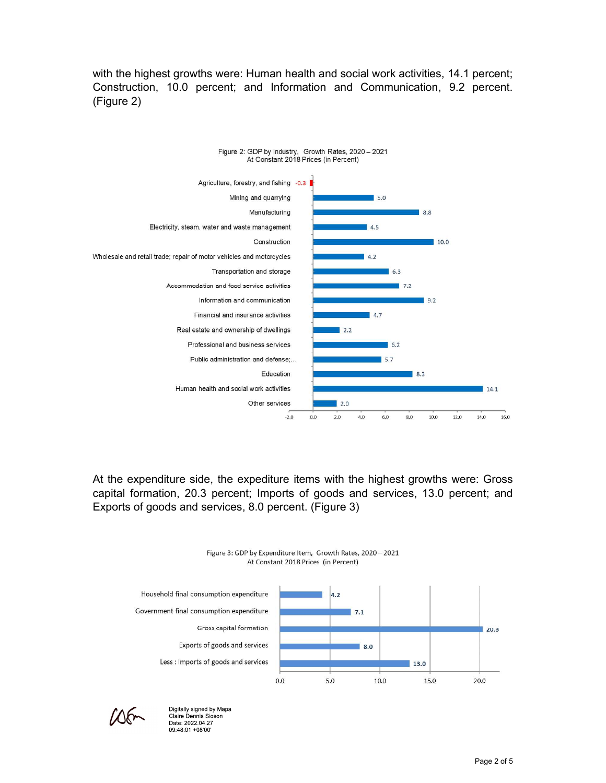with the highest growths were: Human health and social work activities, 14.1 percent;<br>Construction, 10.0 percent; and Information and Communication, 9.2 percent.<br>(Figure 2) with the highest growths were: Human health and social work activities, 14.1 percent;<br>Construction, 10.0 percent; and Information and Communication, 9.2 percent.<br>(Figure 2) (Figure 2)



capital formation, 20.3 percent; Imports of goods and services, 13.0 percent; and





Digitally signed by Mapa Claire Dennis Sioson Date: 2022.04.27 09:48:01 +08'00"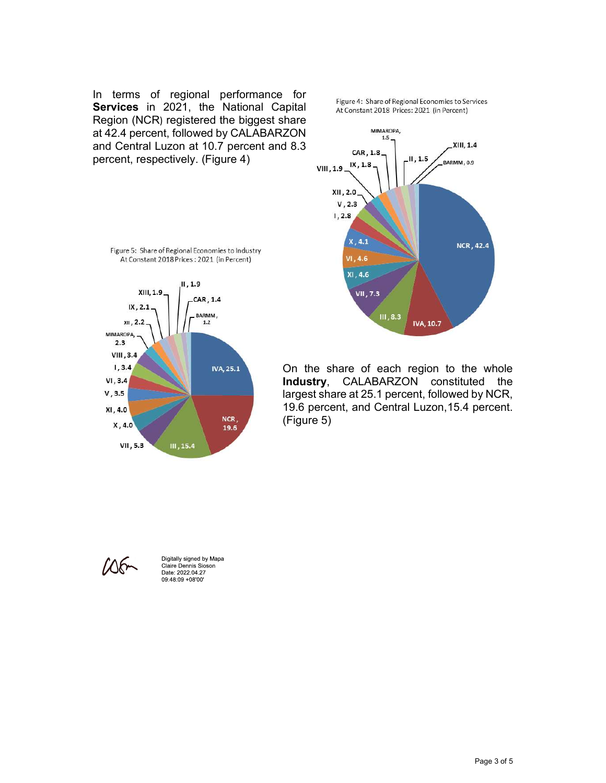In terms of regional performance for<br> **Continued in a limitation** is a share of Regional Economies to Services **Services** in 2021, the National Capital *At Constant 2018 Prices: 2021 (in Percent)*<br>Region (NCR) registered the biggest share In terms of regional performance for<br>
Services in 2021, the National Capital<br>
Region (NCR) registered the biggest share<br>  $R = 2021$  (in Percent)<br>
and 2.4 percent, followed by CALABARZON<br>
and Central Luzon at 10.7 percent a In terms of regional performance for<br> **Services** in 2021, the National Capital<br>
Region (NCR) registered the biggest share<br>
at 42.4 percent, followed by CALABARZON<br>
and Central Luzon at 10.7 percent and 8.3<br>
percent, respe







On the share of each region to the whole (Figure 5)



Digitally signed by Mapa Claire Dennis Sioson<br>Date: 2022.04.27 09:48:09 +08'00'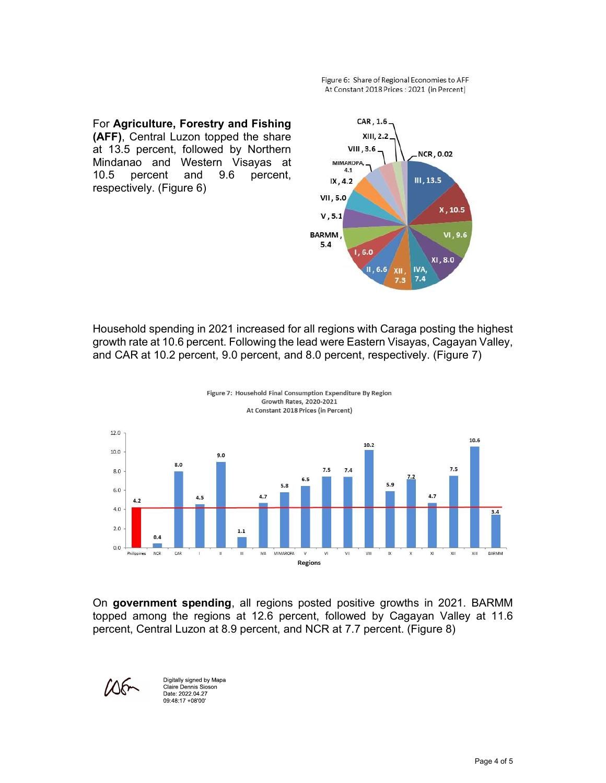For Agriculture, Forestry and Fishing EDM CAR, 1.6 Figure 6: Share of Regional Economies to AFF<br>
At Constant 2018 Prices : 2021 (in Percent)<br> **(AFF)**, Central Luzon topped the share<br> **(AFF)**, Central Luzon topped the share<br>
at 13.5 percent, followed by Northern<br>
Mindanao a Figure 6: Share of Regional Economies to AFF<br>
At Constant 2018 Prices : 2021 (in Percent)<br> **ATER**, Central Luzon topped the share<br> **at 13.5 percent, followed by Northern**<br>
Mindanao and Western Visayas at<br>
10.5 percent and Figure 6: Share of Regional Economies to AFF<br>
At Constant 2018 Prices : 2021 (in Percent)<br> **(AFF)**, Central Luzon topped the share<br> **(AFF)**, Central Luzon topped the share<br>
Mindanao and Western Visayas at<br>
10.5 percent and Figure 6: Share of Regional Economies to AFF<br>
At Constant 2018 Prices: 3021 (in Percent)<br> **(AFF)**, Central Luzon topped the share<br>
Mindanao and Western Visayas at<br>
10.5 percent, for the share<br>
10.5 percent and 9.6 percent, Figure 6: Share of Regional Economies to AFF<br>
At Constant 2018 Prices : 2021 (in Percent)<br> **(AFF)**, Central Luzon topped the share<br> **at 13.5** percent, followed by Northern WIII, 3.6<br>
Mindanao and Western Visayas at<br>
10.5 p

For Agriculture, Forestry and Fishing<br>
AConstant 2018 Prios: 2021 in Percent<br>
ACONSTRICE UNITED AND A SURVEY (Figure 6)<br>
Mindhand and Western Visayas at With Caraga posting the highest<br>
Mindhand Survey (Figure 6)<br>
Mindhand For Agriculture, Forestry and Fishing<br>
(AFF), Central Luzon topped the share<br>
Mindanao and Western Visayas at<br>
Mindanao and Western Visayas, at<br>
10.5 percent. following the Dercent.<br>
10.5 percent and 9.6 percent.<br>
10.5 per For Agriculture, Forestry and Fishing<br>
at 13.5 percent, followed by Northern<br>
Mindiana on Western Visia/23.2<br>
10.5 percent and 9.6 percent,  $\frac{1}{100}$ <br>
10.5 percent and 9.6 percent,  $\frac{1}{100}$ <br>  $\frac{1}{100}$ <br>  $\frac{1}{100}$ <br>





09:48:17 +08'00"